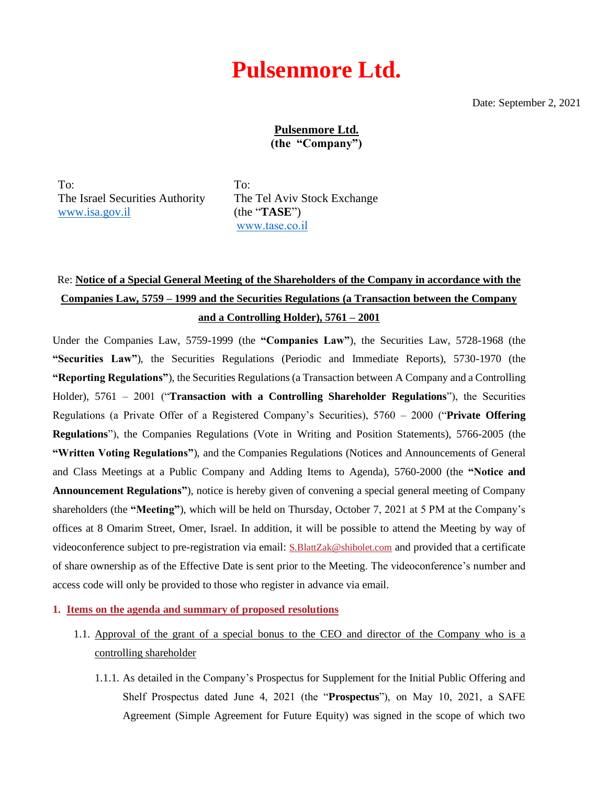# Pulsenmore Ltd.

Date: September 2, 2021

<u>Pulsenmore Ltd.</u> (the "Company")

To: The Israel Securities Authority [www.isa.gov.il](http://www.isa.gov.il/) 

To: The Tel Aviv Stock Exchange (the "**TASE**")  [www.tase.co.il](http://www.tase.co.il/)

# Re: **Notice of a Special General Meeting of the Shareholders of the Company in accordance with the Companies Law, 5759 – 1999 and the Securities Regulations (a Transaction between the Company and a Controlling Holder), 5761 – 2001**

Under the Companies Law, 5759-1999 (the **"Companies Law"**), the Securities Law, 5728-1968 (the **"Securities Law"**), the Securities Regulations (Periodic and Immediate Reports), 5730-1970 (the **"Reporting Regulations"**), the Securities Regulations (a Transaction between A Company and a Controlling Holder), 5761 – 2001 ("**Transaction with a Controlling Shareholder Regulations**"), the Securities Regulations (a Private Offer of a Registered Company's Securities), 5760 – 2000 ("**Private Offering Regulations**"), the Companies Regulations (Vote in Writing and Position Statements), 5766-2005 (the **"Written Voting Regulations"**), and the Companies Regulations (Notices and Announcements of General and Class Meetings at a Public Company and Adding Items to Agenda), 5760-2000 (the **"Notice and Announcement Regulations"**), notice is hereby given of convening a special general meeting of Company shareholders (the **"Meeting"**), which will be held on Thursday, October 7, 2021 at 5 PM at the Company's offices at 8 Omarim Street, Omer, Israel. In addition, it will be possible to attend the Meeting by way of videoconference subject to pre-registration via email: [S.BlattZak@shibolet.com](mailto:S.BlattZak@shibolet.com) and provided that a certificate of share ownership as of the Effective Date is sent prior to the Meeting. The videoconference's number and access code will only be provided to those who register in advance via email.

**1. Items on the agenda and summary of proposed resolutions**

- 1.1. Approval of the grant of a special bonus to the CEO and director of the Company who is a controlling shareholder
	- 1.1.1. As detailed in the Company's Prospectus for Supplement for the Initial Public Offering and Shelf Prospectus dated June 4, 2021 (the "**Prospectus**"), on May 10, 2021, a SAFE Agreement (Simple Agreement for Future Equity) was signed in the scope of which two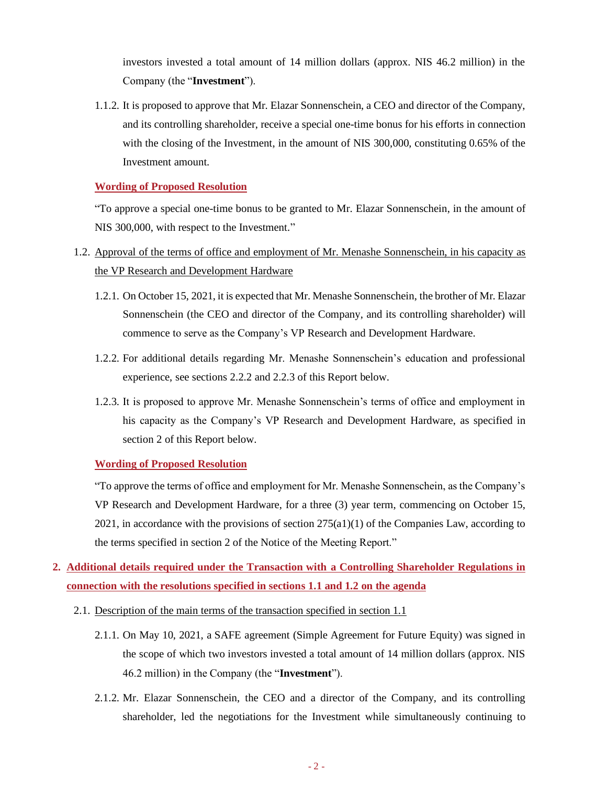investors invested a total amount of 14 million dollars (approx. NIS 46.2 million) in the Company (the "**Investment**").

1.1.2. It is proposed to approve that Mr. Elazar Sonnenschein, a CEO and director of the Company, and its controlling shareholder, receive a special one-time bonus for his efforts in connection with the closing of the Investment, in the amount of NIS 300,000, constituting 0.65% of the Investment amount.

#### **Wording of Proposed Resolution**

"To approve a special one-time bonus to be granted to Mr. Elazar Sonnenschein, in the amount of NIS 300,000, with respect to the Investment."

- 1.2. Approval of the terms of office and employment of Mr. Menashe Sonnenschein, in his capacity as the VP Research and Development Hardware
	- 1.2.1. On October 15, 2021, it is expected that Mr. Menashe Sonnenschein, the brother of Mr. Elazar Sonnenschein (the CEO and director of the Company, and its controlling shareholder) will commence to serve as the Company's VP Research and Development Hardware.
	- 1.2.2. For additional details regarding Mr. Menashe Sonnenschein's education and professional experience, see sections 2.2.2 and 2.2.3 of this Report below.
	- 1.2.3. It is proposed to approve Mr. Menashe Sonnenschein's terms of office and employment in his capacity as the Company's VP Research and Development Hardware, as specified in section 2 of this Report below.

## **Wording of Proposed Resolution**

"To approve the terms of office and employment for Mr. Menashe Sonnenschein, as the Company's VP Research and Development Hardware, for a three (3) year term, commencing on October 15, 2021, in accordance with the provisions of section  $275(a1)(1)$  of the Companies Law, according to the terms specified in section 2 of the Notice of the Meeting Report."

# **2. Additional details required under the Transaction with a Controlling Shareholder Regulations in connection with the resolutions specified in sections 1.1 and 1.2 on the agenda**

- 2.1. Description of the main terms of the transaction specified in section 1.1
	- 2.1.1. On May 10, 2021, a SAFE agreement (Simple Agreement for Future Equity) was signed in the scope of which two investors invested a total amount of 14 million dollars (approx. NIS 46.2 million) in the Company (the "**Investment**").
	- 2.1.2. Mr. Elazar Sonnenschein, the CEO and a director of the Company, and its controlling shareholder, led the negotiations for the Investment while simultaneously continuing to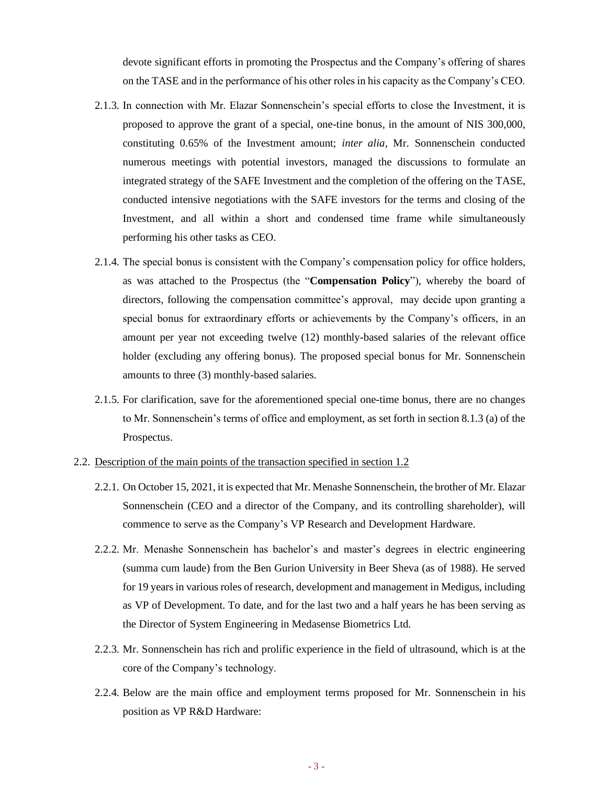devote significant efforts in promoting the Prospectus and the Company's offering of shares on the TASE and in the performance of his other roles in his capacity as the Company's CEO.

- 2.1.3. In connection with Mr. Elazar Sonnenschein's special efforts to close the Investment, it is proposed to approve the grant of a special, one-tine bonus, in the amount of NIS 300,000, constituting 0.65% of the Investment amount; *inter alia*, Mr. Sonnenschein conducted numerous meetings with potential investors, managed the discussions to formulate an integrated strategy of the SAFE Investment and the completion of the offering on the TASE, conducted intensive negotiations with the SAFE investors for the terms and closing of the Investment, and all within a short and condensed time frame while simultaneously performing his other tasks as CEO.
- 2.1.4. The special bonus is consistent with the Company's compensation policy for office holders, as was attached to the Prospectus (the "**Compensation Policy**"), whereby the board of directors, following the compensation committee's approval, may decide upon granting a special bonus for extraordinary efforts or achievements by the Company's officers, in an amount per year not exceeding twelve (12) monthly-based salaries of the relevant office holder (excluding any offering bonus). The proposed special bonus for Mr. Sonnenschein amounts to three (3) monthly-based salaries.
- 2.1.5. For clarification, save for the aforementioned special one-time bonus, there are no changes to Mr. Sonnenschein's terms of office and employment, as set forth in section 8.1.3 (a) of the Prospectus.

#### 2.2. Description of the main points of the transaction specified in section 1.2

- 2.2.1. On October 15, 2021, it is expected that Mr. Menashe Sonnenschein, the brother of Mr. Elazar Sonnenschein (CEO and a director of the Company, and its controlling shareholder), will commence to serve as the Company's VP Research and Development Hardware.
- 2.2.2. Mr. Menashe Sonnenschein has bachelor's and master's degrees in electric engineering (summa cum laude) from the Ben Gurion University in Beer Sheva (as of 1988). He served for 19 years in various roles of research, development and management in Medigus, including as VP of Development. To date, and for the last two and a half years he has been serving as the Director of System Engineering in Medasense Biometrics Ltd.
- 2.2.3. Mr. Sonnenschein has rich and prolific experience in the field of ultrasound, which is at the core of the Company's technology.
- 2.2.4. Below are the main office and employment terms proposed for Mr. Sonnenschein in his position as VP R&D Hardware: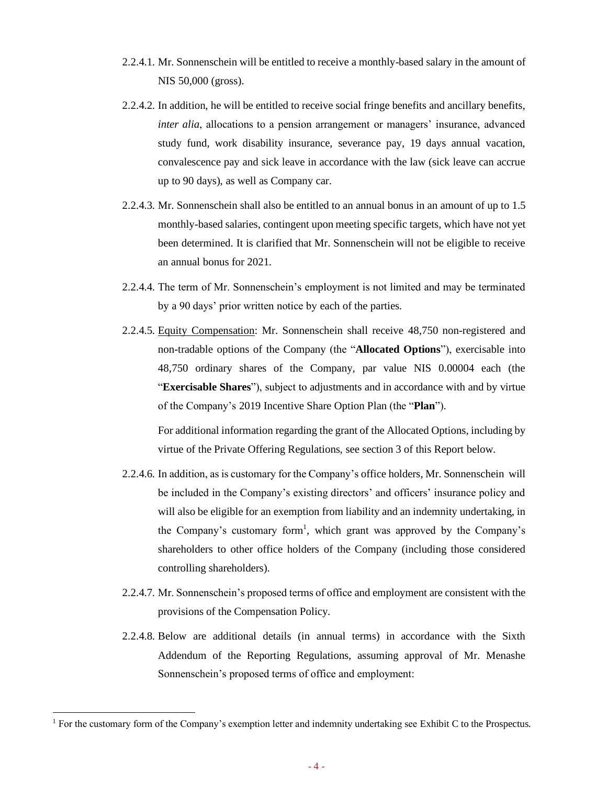- 2.2.4.1. Mr. Sonnenschein will be entitled to receive a monthly-based salary in the amount of NIS 50,000 (gross).
- 2.2.4.2. In addition, he will be entitled to receive social fringe benefits and ancillary benefits, *inter alia*, allocations to a pension arrangement or managers' insurance, advanced study fund, work disability insurance, severance pay, 19 days annual vacation, convalescence pay and sick leave in accordance with the law (sick leave can accrue up to 90 days), as well as Company car.
- 2.2.4.3. Mr. Sonnenschein shall also be entitled to an annual bonus in an amount of up to 1.5 monthly-based salaries, contingent upon meeting specific targets, which have not yet been determined. It is clarified that Mr. Sonnenschein will not be eligible to receive an annual bonus for 2021.
- 2.2.4.4. The term of Mr. Sonnenschein's employment is not limited and may be terminated by a 90 days' prior written notice by each of the parties.
- 2.2.4.5. Equity Compensation: Mr. Sonnenschein shall receive 48,750 non-registered and non-tradable options of the Company (the "**Allocated Options**"), exercisable into 48,750 ordinary shares of the Company, par value NIS 0.00004 each (the "**Exercisable Shares**"), subject to adjustments and in accordance with and by virtue of the Company's 2019 Incentive Share Option Plan (the "**Plan**").

For additional information regarding the grant of the Allocated Options, including by virtue of the Private Offering Regulations, see section 3 of this Report below.

- 2.2.4.6. In addition, as is customary for the Company's office holders, Mr. Sonnenschein will be included in the Company's existing directors' and officers' insurance policy and will also be eligible for an exemption from liability and an indemnity undertaking, in the Company's customary form<sup>1</sup>, which grant was approved by the Company's shareholders to other office holders of the Company (including those considered controlling shareholders).
- 2.2.4.7. Mr. Sonnenschein's proposed terms of office and employment are consistent with the provisions of the Compensation Policy.
- 2.2.4.8. Below are additional details (in annual terms) in accordance with the Sixth Addendum of the Reporting Regulations, assuming approval of Mr. Menashe Sonnenschein's proposed terms of office and employment:

<sup>&</sup>lt;sup>1</sup> For the customary form of the Company's exemption letter and indemnity undertaking see Exhibit C to the Prospectus.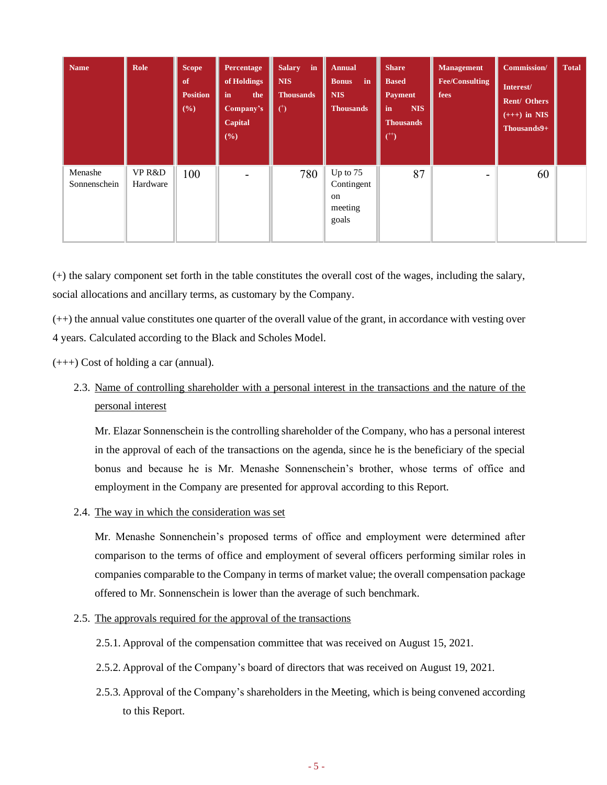| <b>Name</b>             | Role               | <b>Scope</b><br>of<br><b>Position</b><br>$(\%)$ | Percentage<br>of Holdings<br>in<br>the<br>Company's<br>Capital<br>$(\%)$ | $\mathbf{in}$<br><b>Salary</b><br><b>NIS</b><br><b>Thousands</b><br>$\circ$ | <b>Annual</b><br>in<br><b>Bonus</b><br><b>NIS</b><br><b>Thousands</b> | <b>Share</b><br><b>Based</b><br><b>Payment</b><br><b>NIS</b><br>in<br><b>Thousands</b><br>$(+)$ | <b>Management</b><br><b>Fee/Consulting</b><br>fees | Commission/<br>Interest/<br><b>Rent/ Others</b><br>$(+++)$ in NIS<br>Thousands9+ | <b>Total</b> |
|-------------------------|--------------------|-------------------------------------------------|--------------------------------------------------------------------------|-----------------------------------------------------------------------------|-----------------------------------------------------------------------|-------------------------------------------------------------------------------------------------|----------------------------------------------------|----------------------------------------------------------------------------------|--------------|
| Menashe<br>Sonnenschein | VP R&D<br>Hardware | 100                                             |                                                                          | 780                                                                         | Up to 75<br>Contingent<br><sub>on</sub><br>meeting<br>goals           | 87                                                                                              | -                                                  | 60                                                                               |              |

(+) the salary component set forth in the table constitutes the overall cost of the wages, including the salary, social allocations and ancillary terms, as customary by the Company.

(++) the annual value constitutes one quarter of the overall value of the grant, in accordance with vesting over 4 years. Calculated according to the Black and Scholes Model.

(+++) Cost of holding a car (annual).

2.3. Name of controlling shareholder with a personal interest in the transactions and the nature of the personal interest

Mr. Elazar Sonnenschein is the controlling shareholder of the Company, who has a personal interest in the approval of each of the transactions on the agenda, since he is the beneficiary of the special bonus and because he is Mr. Menashe Sonnenschein's brother, whose terms of office and employment in the Company are presented for approval according to this Report.

2.4. The way in which the consideration was set

Mr. Menashe Sonnenchein's proposed terms of office and employment were determined after comparison to the terms of office and employment of several officers performing similar roles in companies comparable to the Company in terms of market value; the overall compensation package offered to Mr. Sonnenschein is lower than the average of such benchmark.

- 2.5. The approvals required for the approval of the transactions
	- 2.5.1. Approval of the compensation committee that was received on August 15, 2021.
	- 2.5.2. Approval of the Company's board of directors that was received on August 19, 2021.
	- 2.5.3. Approval of the Company's shareholders in the Meeting, which is being convened according to this Report.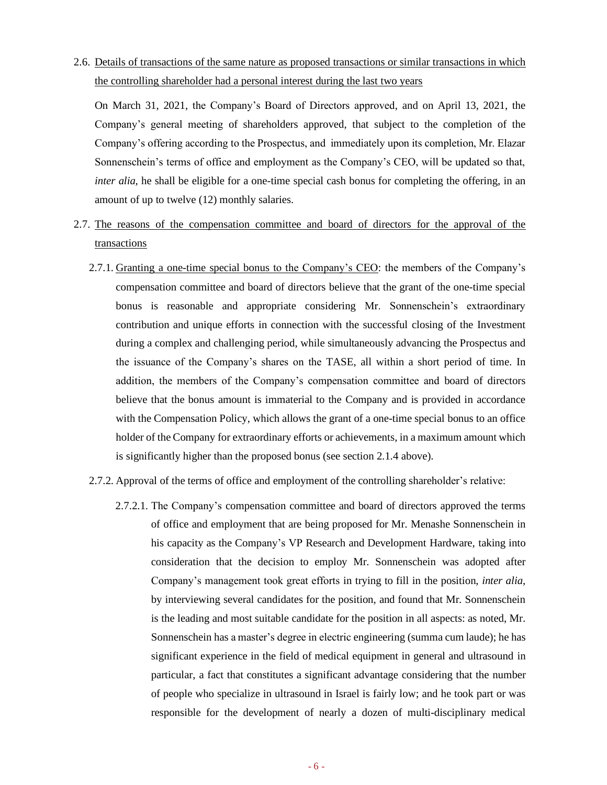2.6. Details of transactions of the same nature as proposed transactions or similar transactions in which the controlling shareholder had a personal interest during the last two years

On March 31, 2021, the Company's Board of Directors approved, and on April 13, 2021, the Company's general meeting of shareholders approved, that subject to the completion of the Company's offering according to the Prospectus, and immediately upon its completion, Mr. Elazar Sonnenschein's terms of office and employment as the Company's CEO, will be updated so that, *inter alia*, he shall be eligible for a one-time special cash bonus for completing the offering, in an amount of up to twelve (12) monthly salaries.

- 2.7. The reasons of the compensation committee and board of directors for the approval of the transactions
	- 2.7.1. Granting a one-time special bonus to the Company's CEO: the members of the Company's compensation committee and board of directors believe that the grant of the one-time special bonus is reasonable and appropriate considering Mr. Sonnenschein's extraordinary contribution and unique efforts in connection with the successful closing of the Investment during a complex and challenging period, while simultaneously advancing the Prospectus and the issuance of the Company's shares on the TASE, all within a short period of time. In addition, the members of the Company's compensation committee and board of directors believe that the bonus amount is immaterial to the Company and is provided in accordance with the Compensation Policy, which allows the grant of a one-time special bonus to an office holder of the Company for extraordinary efforts or achievements, in a maximum amount which is significantly higher than the proposed bonus (see section 2.1.4 above).
	- 2.7.2. Approval of the terms of office and employment of the controlling shareholder's relative:
		- 2.7.2.1. The Company's compensation committee and board of directors approved the terms of office and employment that are being proposed for Mr. Menashe Sonnenschein in his capacity as the Company's VP Research and Development Hardware, taking into consideration that the decision to employ Mr. Sonnenschein was adopted after Company's management took great efforts in trying to fill in the position, *inter alia*, by interviewing several candidates for the position, and found that Mr. Sonnenschein is the leading and most suitable candidate for the position in all aspects: as noted, Mr. Sonnenschein has a master's degree in electric engineering (summa cum laude); he has significant experience in the field of medical equipment in general and ultrasound in particular, a fact that constitutes a significant advantage considering that the number of people who specialize in ultrasound in Israel is fairly low; and he took part or was responsible for the development of nearly a dozen of multi-disciplinary medical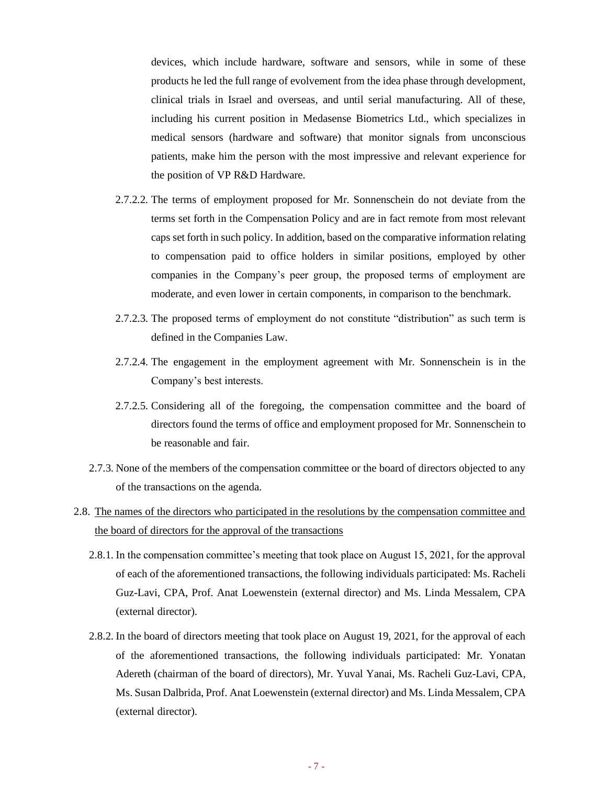devices, which include hardware, software and sensors, while in some of these products he led the full range of evolvement from the idea phase through development, clinical trials in Israel and overseas, and until serial manufacturing. All of these, including his current position in Medasense Biometrics Ltd., which specializes in medical sensors (hardware and software) that monitor signals from unconscious patients, make him the person with the most impressive and relevant experience for the position of VP R&D Hardware.

- 2.7.2.2. The terms of employment proposed for Mr. Sonnenschein do not deviate from the terms set forth in the Compensation Policy and are in fact remote from most relevant caps set forth in such policy. In addition, based on the comparative information relating to compensation paid to office holders in similar positions, employed by other companies in the Company's peer group, the proposed terms of employment are moderate, and even lower in certain components, in comparison to the benchmark.
- 2.7.2.3. The proposed terms of employment do not constitute "distribution" as such term is defined in the Companies Law.
- 2.7.2.4. The engagement in the employment agreement with Mr. Sonnenschein is in the Company's best interests.
- 2.7.2.5. Considering all of the foregoing, the compensation committee and the board of directors found the terms of office and employment proposed for Mr. Sonnenschein to be reasonable and fair.
- 2.7.3. None of the members of the compensation committee or the board of directors objected to any of the transactions on the agenda.
- 2.8. The names of the directors who participated in the resolutions by the compensation committee and the board of directors for the approval of the transactions
	- 2.8.1. In the compensation committee's meeting that took place on August 15, 2021, for the approval of each of the aforementioned transactions, the following individuals participated: Ms. Racheli Guz-Lavi, CPA, Prof. Anat Loewenstein (external director) and Ms. Linda Messalem, CPA (external director).
	- 2.8.2. In the board of directors meeting that took place on August 19, 2021, for the approval of each of the aforementioned transactions, the following individuals participated: Mr. Yonatan Adereth (chairman of the board of directors), Mr. Yuval Yanai, Ms. Racheli Guz-Lavi, CPA, Ms. Susan Dalbrida, Prof. Anat Loewenstein (external director) and Ms. Linda Messalem, CPA (external director).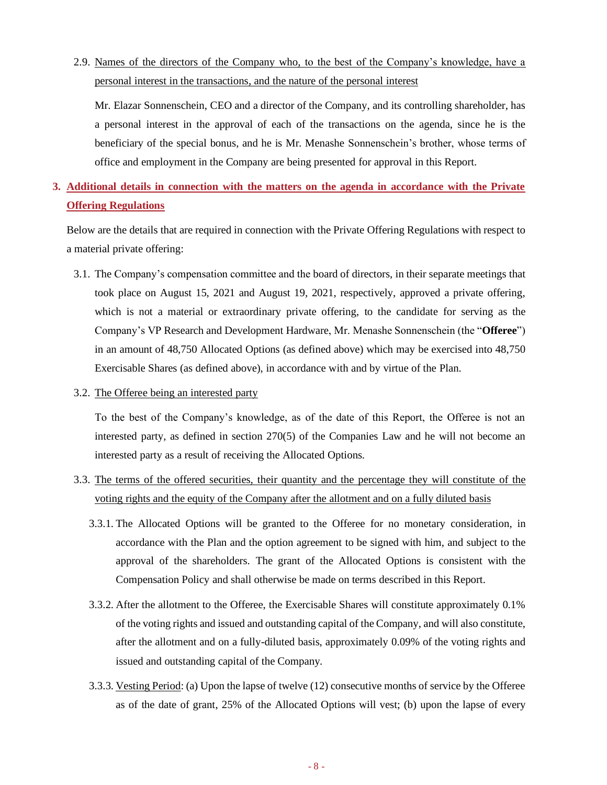2.9. Names of the directors of the Company who, to the best of the Company's knowledge, have a personal interest in the transactions, and the nature of the personal interest

Mr. Elazar Sonnenschein, CEO and a director of the Company, and its controlling shareholder, has a personal interest in the approval of each of the transactions on the agenda, since he is the beneficiary of the special bonus, and he is Mr. Menashe Sonnenschein's brother, whose terms of office and employment in the Company are being presented for approval in this Report.

# **3. Additional details in connection with the matters on the agenda in accordance with the Private Offering Regulations**

Below are the details that are required in connection with the Private Offering Regulations with respect to a material private offering:

- 3.1. The Company's compensation committee and the board of directors, in their separate meetings that took place on August 15, 2021 and August 19, 2021, respectively, approved a private offering, which is not a material or extraordinary private offering, to the candidate for serving as the Company's VP Research and Development Hardware, Mr. Menashe Sonnenschein (the "**Offeree**") in an amount of 48,750 Allocated Options (as defined above) which may be exercised into 48,750 Exercisable Shares (as defined above), in accordance with and by virtue of the Plan.
- 3.2. The Offeree being an interested party

To the best of the Company's knowledge, as of the date of this Report, the Offeree is not an interested party, as defined in section 270(5) of the Companies Law and he will not become an interested party as a result of receiving the Allocated Options.

- 3.3. The terms of the offered securities, their quantity and the percentage they will constitute of the voting rights and the equity of the Company after the allotment and on a fully diluted basis
	- 3.3.1. The Allocated Options will be granted to the Offeree for no monetary consideration, in accordance with the Plan and the option agreement to be signed with him, and subject to the approval of the shareholders. The grant of the Allocated Options is consistent with the Compensation Policy and shall otherwise be made on terms described in this Report.
	- 3.3.2. After the allotment to the Offeree, the Exercisable Shares will constitute approximately 0.1% of the voting rights and issued and outstanding capital of the Company, and will also constitute, after the allotment and on a fully-diluted basis, approximately 0.09% of the voting rights and issued and outstanding capital of the Company.
	- 3.3.3. Vesting Period: (a) Upon the lapse of twelve (12) consecutive months of service by the Offeree as of the date of grant, 25% of the Allocated Options will vest; (b) upon the lapse of every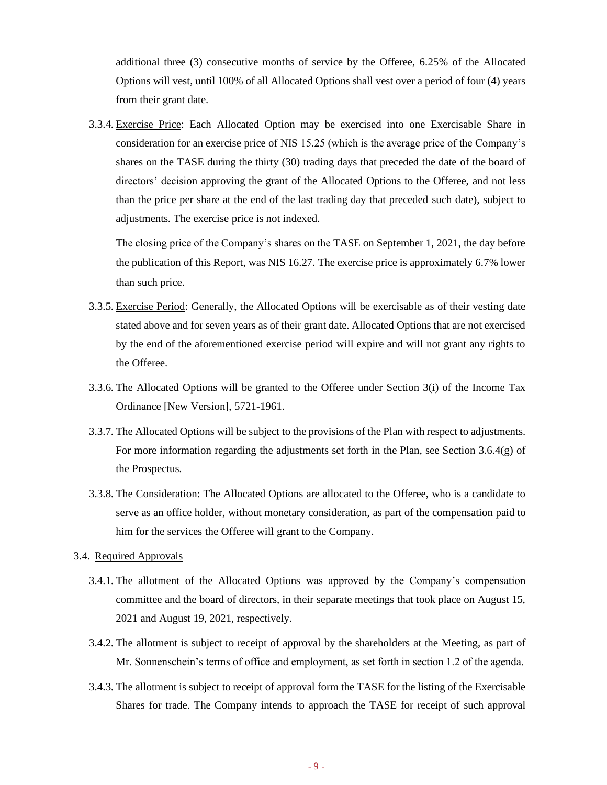additional three (3) consecutive months of service by the Offeree, 6.25% of the Allocated Options will vest, until 100% of all Allocated Options shall vest over a period of four (4) years from their grant date.

3.3.4. Exercise Price: Each Allocated Option may be exercised into one Exercisable Share in consideration for an exercise price of NIS 15.25 (which is the average price of the Company's shares on the TASE during the thirty (30) trading days that preceded the date of the board of directors' decision approving the grant of the Allocated Options to the Offeree, and not less than the price per share at the end of the last trading day that preceded such date), subject to adjustments. The exercise price is not indexed.

The closing price of the Company's shares on the TASE on September 1, 2021, the day before the publication of this Report, was NIS 16.27. The exercise price is approximately 6.7% lower than such price.

- 3.3.5. Exercise Period: Generally, the Allocated Options will be exercisable as of their vesting date stated above and for seven years as of their grant date. Allocated Options that are not exercised by the end of the aforementioned exercise period will expire and will not grant any rights to the Offeree.
- 3.3.6. The Allocated Options will be granted to the Offeree under Section 3(i) of the Income Tax Ordinance [New Version], 5721-1961.
- 3.3.7. The Allocated Options will be subject to the provisions of the Plan with respect to adjustments. For more information regarding the adjustments set forth in the Plan, see Section 3.6.4(g) of the Prospectus.
- 3.3.8. The Consideration: The Allocated Options are allocated to the Offeree, who is a candidate to serve as an office holder, without monetary consideration, as part of the compensation paid to him for the services the Offeree will grant to the Company.

### 3.4. Required Approvals

- 3.4.1. The allotment of the Allocated Options was approved by the Company's compensation committee and the board of directors, in their separate meetings that took place on August 15, 2021 and August 19, 2021, respectively.
- 3.4.2. The allotment is subject to receipt of approval by the shareholders at the Meeting, as part of Mr. Sonnenschein's terms of office and employment, as set forth in section 1.2 of the agenda.
- 3.4.3. The allotment is subject to receipt of approval form the TASE for the listing of the Exercisable Shares for trade. The Company intends to approach the TASE for receipt of such approval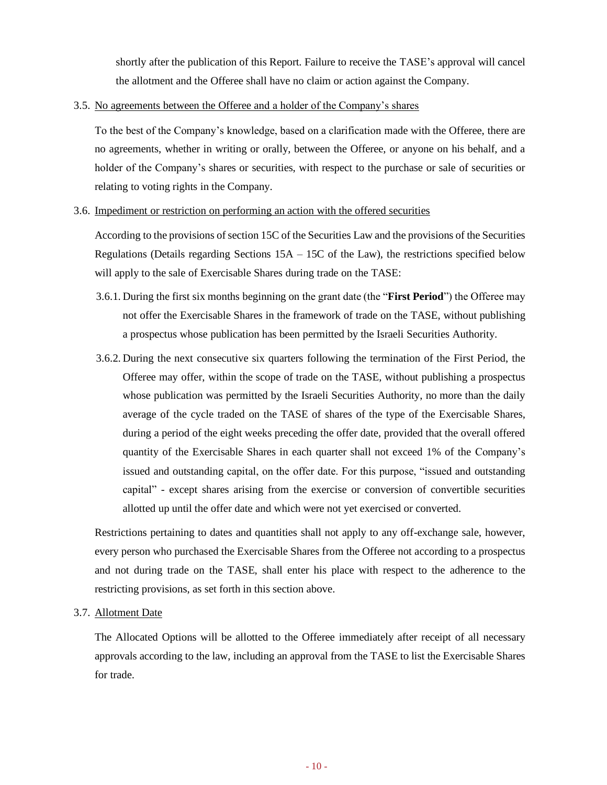shortly after the publication of this Report. Failure to receive the TASE's approval will cancel the allotment and the Offeree shall have no claim or action against the Company.

#### 3.5. No agreements between the Offeree and a holder of the Company's shares

To the best of the Company's knowledge, based on a clarification made with the Offeree, there are no agreements, whether in writing or orally, between the Offeree, or anyone on his behalf, and a holder of the Company's shares or securities, with respect to the purchase or sale of securities or relating to voting rights in the Company.

#### 3.6. Impediment or restriction on performing an action with the offered securities

According to the provisions of section 15C of the Securities Law and the provisions of the Securities Regulations (Details regarding Sections  $15A - 15C$  of the Law), the restrictions specified below will apply to the sale of Exercisable Shares during trade on the TASE:

- 3.6.1. During the first six months beginning on the grant date (the "**First Period**") the Offeree may not offer the Exercisable Shares in the framework of trade on the TASE, without publishing a prospectus whose publication has been permitted by the Israeli Securities Authority.
- 3.6.2. During the next consecutive six quarters following the termination of the First Period, the Offeree may offer, within the scope of trade on the TASE, without publishing a prospectus whose publication was permitted by the Israeli Securities Authority, no more than the daily average of the cycle traded on the TASE of shares of the type of the Exercisable Shares, during a period of the eight weeks preceding the offer date, provided that the overall offered quantity of the Exercisable Shares in each quarter shall not exceed 1% of the Company's issued and outstanding capital, on the offer date. For this purpose, "issued and outstanding capital" - except shares arising from the exercise or conversion of convertible securities allotted up until the offer date and which were not yet exercised or converted.

Restrictions pertaining to dates and quantities shall not apply to any off-exchange sale, however, every person who purchased the Exercisable Shares from the Offeree not according to a prospectus and not during trade on the TASE, shall enter his place with respect to the adherence to the restricting provisions, as set forth in this section above.

3.7. Allotment Date

The Allocated Options will be allotted to the Offeree immediately after receipt of all necessary approvals according to the law, including an approval from the TASE to list the Exercisable Shares for trade.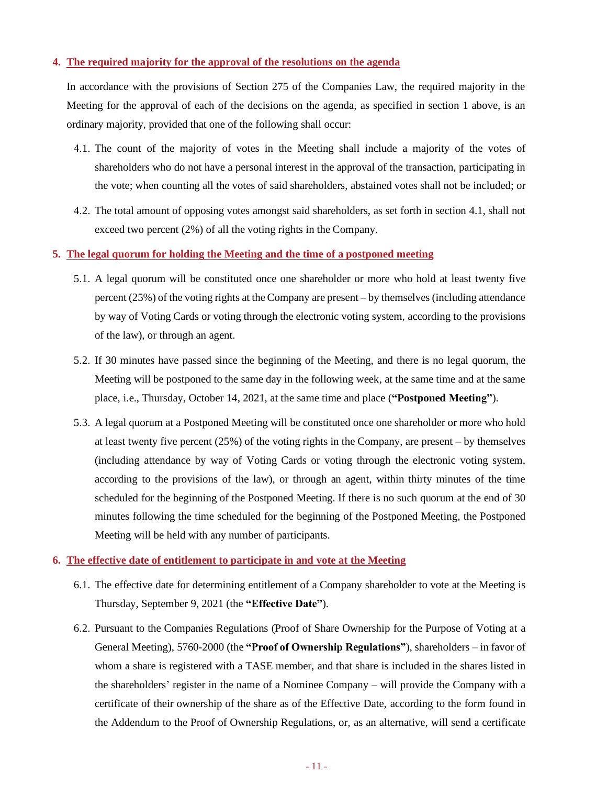### **4. The required majority for the approval of the resolutions on the agenda**

In accordance with the provisions of Section 275 of the Companies Law, the required majority in the Meeting for the approval of each of the decisions on the agenda, as specified in section 1 above, is an ordinary majority, provided that one of the following shall occur:

- 4.1. The count of the majority of votes in the Meeting shall include a majority of the votes of shareholders who do not have a personal interest in the approval of the transaction, participating in the vote; when counting all the votes of said shareholders, abstained votes shall not be included; or
- 4.2. The total amount of opposing votes amongst said shareholders, as set forth in section 4.1, shall not exceed two percent (2%) of all the voting rights in the Company.
- **5. The legal quorum for holding the Meeting and the time of a postponed meeting**
	- 5.1. A legal quorum will be constituted once one shareholder or more who hold at least twenty five percent (25%) of the voting rights at the Company are present – by themselves (including attendance by way of Voting Cards or voting through the electronic voting system, according to the provisions of the law), or through an agent.
	- 5.2. If 30 minutes have passed since the beginning of the Meeting, and there is no legal quorum, the Meeting will be postponed to the same day in the following week, at the same time and at the same place, i.e., Thursday, October 14, 2021, at the same time and place (**"Postponed Meeting"**).
	- 5.3. A legal quorum at a Postponed Meeting will be constituted once one shareholder or more who hold at least twenty five percent (25%) of the voting rights in the Company, are present – by themselves (including attendance by way of Voting Cards or voting through the electronic voting system, according to the provisions of the law), or through an agent, within thirty minutes of the time scheduled for the beginning of the Postponed Meeting. If there is no such quorum at the end of 30 minutes following the time scheduled for the beginning of the Postponed Meeting, the Postponed Meeting will be held with any number of participants.

#### **6. The effective date of entitlement to participate in and vote at the Meeting**

- 6.1. The effective date for determining entitlement of a Company shareholder to vote at the Meeting is Thursday, September 9, 2021 (the **"Effective Date"**).
- 6.2. Pursuant to the Companies Regulations (Proof of Share Ownership for the Purpose of Voting at a General Meeting), 5760-2000 (the **"Proof of Ownership Regulations"**), shareholders – in favor of whom a share is registered with a TASE member, and that share is included in the shares listed in the shareholders' register in the name of a Nominee Company – will provide the Company with a certificate of their ownership of the share as of the Effective Date, according to the form found in the Addendum to the Proof of Ownership Regulations, or, as an alternative, will send a certificate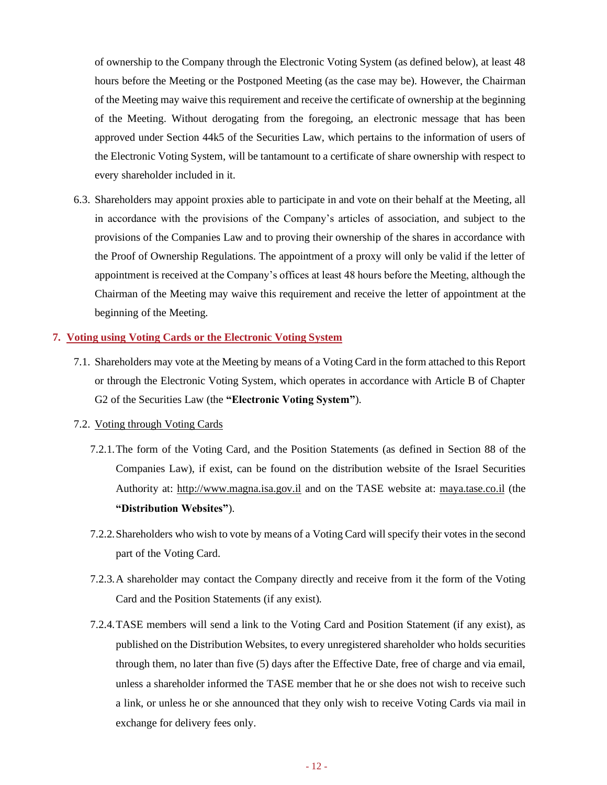of ownership to the Company through the Electronic Voting System (as defined below), at least 48 hours before the Meeting or the Postponed Meeting (as the case may be). However, the Chairman of the Meeting may waive this requirement and receive the certificate of ownership at the beginning of the Meeting. Without derogating from the foregoing, an electronic message that has been approved under Section 44k5 of the Securities Law, which pertains to the information of users of the Electronic Voting System, will be tantamount to a certificate of share ownership with respect to every shareholder included in it.

6.3. Shareholders may appoint proxies able to participate in and vote on their behalf at the Meeting, all in accordance with the provisions of the Company's articles of association, and subject to the provisions of the Companies Law and to proving their ownership of the shares in accordance with the Proof of Ownership Regulations. The appointment of a proxy will only be valid if the letter of appointment is received at the Company's offices at least 48 hours before the Meeting, although the Chairman of the Meeting may waive this requirement and receive the letter of appointment at the beginning of the Meeting.

#### **7. Voting using Voting Cards or the Electronic Voting System**

7.1. Shareholders may vote at the Meeting by means of a Voting Card in the form attached to this Report or through the Electronic Voting System, which operates in accordance with Article B of Chapter G2 of the Securities Law (the **"Electronic Voting System"**).

## 7.2. Voting through Voting Cards

- 7.2.1.The form of the Voting Card, and the Position Statements (as defined in Section 88 of the Companies Law), if exist, can be found on the distribution website of the Israel Securities Authority at: http://www.magna.isa.gov.il and on the TASE website at: maya.tase.co.il (the **"Distribution Websites"**).
- 7.2.2.Shareholders who wish to vote by means of a Voting Card will specify their votes in the second part of the Voting Card.
- 7.2.3.A shareholder may contact the Company directly and receive from it the form of the Voting Card and the Position Statements (if any exist).
- 7.2.4.TASE members will send a link to the Voting Card and Position Statement (if any exist), as published on the Distribution Websites, to every unregistered shareholder who holds securities through them, no later than five (5) days after the Effective Date, free of charge and via email, unless a shareholder informed the TASE member that he or she does not wish to receive such a link, or unless he or she announced that they only wish to receive Voting Cards via mail in exchange for delivery fees only.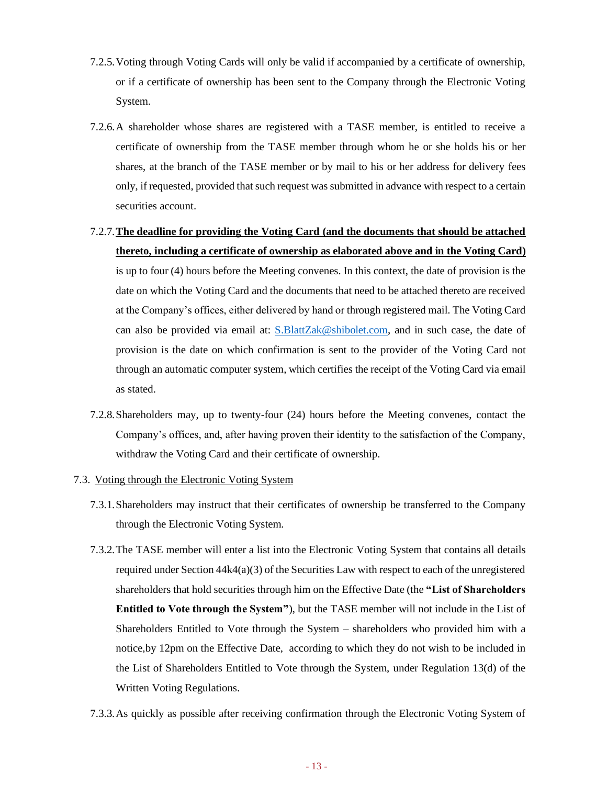- 7.2.5.Voting through Voting Cards will only be valid if accompanied by a certificate of ownership, or if a certificate of ownership has been sent to the Company through the Electronic Voting System.
- 7.2.6.A shareholder whose shares are registered with a TASE member, is entitled to receive a certificate of ownership from the TASE member through whom he or she holds his or her shares, at the branch of the TASE member or by mail to his or her address for delivery fees only, if requested, provided that such request was submitted in advance with respect to a certain securities account.
- 7.2.7.**The deadline for providing the Voting Card (and the documents that should be attached thereto, including a certificate of ownership as elaborated above and in the Voting Card)** is up to four (4) hours before the Meeting convenes. In this context, the date of provision is the

date on which the Voting Card and the documents that need to be attached thereto are received at the Company's offices, either delivered by hand or through registered mail. The Voting Card can also be provided via email at:  $S.BlattZak@shibolet.com$ , and in such case, the date of provision is the date on which confirmation is sent to the provider of the Voting Card not through an automatic computer system, which certifies the receipt of the Voting Card via email as stated.

- 7.2.8.Shareholders may, up to twenty-four (24) hours before the Meeting convenes, contact the Company's offices, and, after having proven their identity to the satisfaction of the Company, withdraw the Voting Card and their certificate of ownership.
- 7.3. Voting through the Electronic Voting System
	- 7.3.1.Shareholders may instruct that their certificates of ownership be transferred to the Company through the Electronic Voting System.
	- 7.3.2.The TASE member will enter a list into the Electronic Voting System that contains all details required under Section  $44k4(a)(3)$  of the Securities Law with respect to each of the unregistered shareholders that hold securities through him on the Effective Date (the **"List of Shareholders Entitled to Vote through the System"**), but the TASE member will not include in the List of Shareholders Entitled to Vote through the System – shareholders who provided him with a notice,by 12pm on the Effective Date, according to which they do not wish to be included in the List of Shareholders Entitled to Vote through the System, under Regulation 13(d) of the Written Voting Regulations.
	- 7.3.3.As quickly as possible after receiving confirmation through the Electronic Voting System of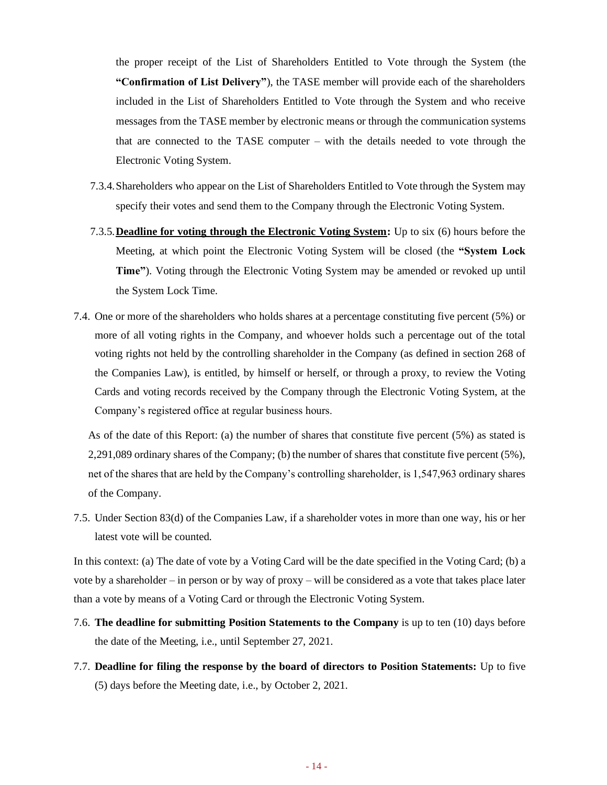the proper receipt of the List of Shareholders Entitled to Vote through the System (the **"Confirmation of List Delivery"**), the TASE member will provide each of the shareholders included in the List of Shareholders Entitled to Vote through the System and who receive messages from the TASE member by electronic means or through the communication systems that are connected to the TASE computer – with the details needed to vote through the Electronic Voting System.

- 7.3.4.Shareholders who appear on the List of Shareholders Entitled to Vote through the System may specify their votes and send them to the Company through the Electronic Voting System.
- 7.3.5.**Deadline for voting through the Electronic Voting System:** Up to six (6) hours before the Meeting, at which point the Electronic Voting System will be closed (the **"System Lock Time"**). Voting through the Electronic Voting System may be amended or revoked up until the System Lock Time.
- 7.4. One or more of the shareholders who holds shares at a percentage constituting five percent (5%) or more of all voting rights in the Company, and whoever holds such a percentage out of the total voting rights not held by the controlling shareholder in the Company (as defined in section 268 of the Companies Law), is entitled, by himself or herself, or through a proxy, to review the Voting Cards and voting records received by the Company through the Electronic Voting System, at the Company's registered office at regular business hours.

As of the date of this Report: (a) the number of shares that constitute five percent (5%) as stated is 2,291,089 ordinary shares of the Company; (b) the number of shares that constitute five percent (5%), net of the shares that are held by the Company's controlling shareholder, is 1,547,963 ordinary shares of the Company.

7.5. Under Section 83(d) of the Companies Law, if a shareholder votes in more than one way, his or her latest vote will be counted.

In this context: (a) The date of vote by a Voting Card will be the date specified in the Voting Card; (b) a vote by a shareholder – in person or by way of proxy – will be considered as a vote that takes place later than a vote by means of a Voting Card or through the Electronic Voting System.

- 7.6. **The deadline for submitting Position Statements to the Company** is up to ten (10) days before the date of the Meeting, i.e., until September 27, 2021.
- 7.7. **Deadline for filing the response by the board of directors to Position Statements:** Up to five (5) days before the Meeting date, i.e., by October 2, 2021.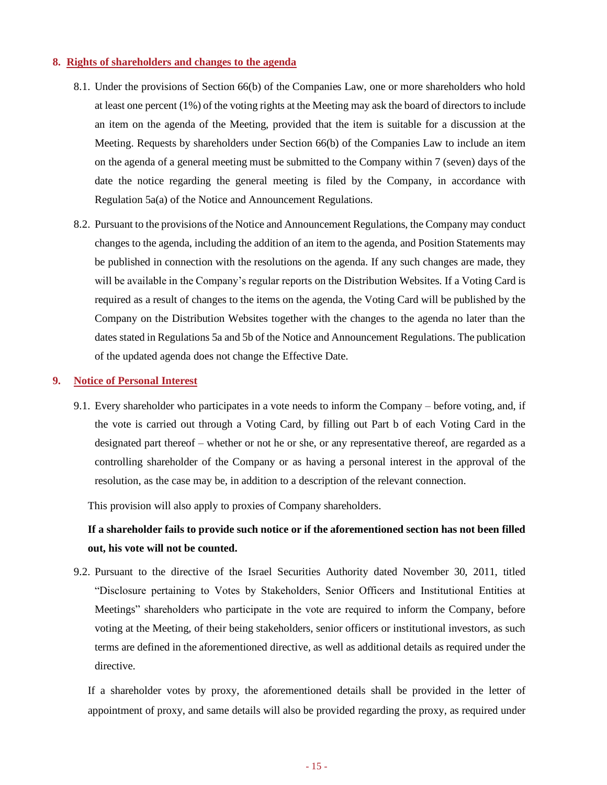#### **8. Rights of shareholders and changes to the agenda**

- 8.1. Under the provisions of Section 66(b) of the Companies Law, one or more shareholders who hold at least one percent (1%) of the voting rights at the Meeting may ask the board of directors to include an item on the agenda of the Meeting, provided that the item is suitable for a discussion at the Meeting. Requests by shareholders under Section 66(b) of the Companies Law to include an item on the agenda of a general meeting must be submitted to the Company within 7 (seven) days of the date the notice regarding the general meeting is filed by the Company, in accordance with Regulation 5a(a) of the Notice and Announcement Regulations.
- 8.2. Pursuant to the provisions of the Notice and Announcement Regulations, the Company may conduct changes to the agenda, including the addition of an item to the agenda, and Position Statements may be published in connection with the resolutions on the agenda. If any such changes are made, they will be available in the Company's regular reports on the Distribution Websites. If a Voting Card is required as a result of changes to the items on the agenda, the Voting Card will be published by the Company on the Distribution Websites together with the changes to the agenda no later than the dates stated in Regulations 5a and 5b of the Notice and Announcement Regulations. The publication of the updated agenda does not change the Effective Date.

#### **9. Notice of Personal Interest**

9.1. Every shareholder who participates in a vote needs to inform the Company – before voting, and, if the vote is carried out through a Voting Card, by filling out Part b of each Voting Card in the designated part thereof – whether or not he or she, or any representative thereof, are regarded as a controlling shareholder of the Company or as having a personal interest in the approval of the resolution, as the case may be, in addition to a description of the relevant connection.

This provision will also apply to proxies of Company shareholders.

# **If a shareholder fails to provide such notice or if the aforementioned section has not been filled out, his vote will not be counted.**

9.2. Pursuant to the directive of the Israel Securities Authority dated November 30, 2011, titled "Disclosure pertaining to Votes by Stakeholders, Senior Officers and Institutional Entities at Meetings" shareholders who participate in the vote are required to inform the Company, before voting at the Meeting, of their being stakeholders, senior officers or institutional investors, as such terms are defined in the aforementioned directive, as well as additional details as required under the directive.

If a shareholder votes by proxy, the aforementioned details shall be provided in the letter of appointment of proxy, and same details will also be provided regarding the proxy, as required under